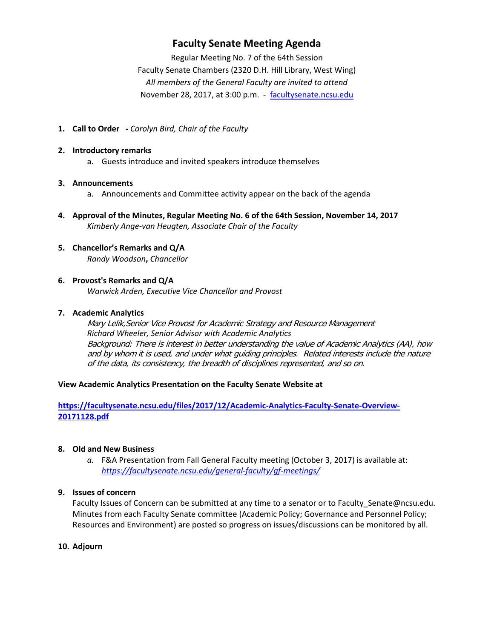# **Faculty Senate Meeting Agenda**

Regular Meeting No. 7 of the 64th Session Faculty Senate Chambers (2320 D.H. Hill Library, West Wing) *All members of the General Faculty are invited to attend* November 28, 2017, at 3:00 p.m. - [facultysenate.ncsu.edu](https://facultysenate.ncsu.edu/)

**1. Call to Order -** *Carolyn Bird, Chair of the Faculty*

#### **2. Introductory remarks**

a. Guests introduce and invited speakers introduce themselves

#### **3. Announcements**

- a. Announcements and Committee activity appear on the back of the agenda
- **4. Approval of the Minutes, Regular Meeting No. 6 of the 64th Session, November 14, 2017** *Kimberly Ange-van Heugten, Associate Chair of the Faculty*
- **5. Chancellor's Remarks and Q/A** *Randy Woodson***,** *Chancellor*

#### **6. Provost's Remarks and Q/A**

*Warwick Arden, Executive Vice Chancellor and Provost*

#### **7. Academic Analytics**

Mary Lelik,Senior Vice Provost for Academic Strategy and Resource Management *Richard Wheeler, Senior Advisor with Academic Analytics* Background: There is interest in better understanding the value of Academic Analytics (AA), how and by whom it is used, and under what guiding principles. Related interests include the nature of the data, its consistency, the breadth of disciplines represented, and so on.

#### **View Academic Analytics Presentation on the Faculty Senate Website at**

**[https://facultysenate.ncsu.edu/files/2017/12/Academic-Analytics-Faculty-Senate-Overview-](https://facultysenate.ncsu.edu/files/2017/12/Academic-Analytics-Faculty-Senate-Overview-20171128.pdf)[20171128.pdf](https://facultysenate.ncsu.edu/files/2017/12/Academic-Analytics-Faculty-Senate-Overview-20171128.pdf)**

#### **8. Old and New Business**

*a.* F&A Presentation from Fall General Faculty meeting (October 3, 2017) is available at: *<https://facultysenate.ncsu.edu/general-faculty/gf-meetings/>*

## **9. Issues of concern**

Faculty Issues of Concern can be submitted at any time to a senator or to Faculty\_Senate@ncsu.edu. Minutes from each Faculty Senate committee (Academic Policy; Governance and Personnel Policy; Resources and Environment) are posted so progress on issues/discussions can be monitored by all.

#### **10. Adjourn**